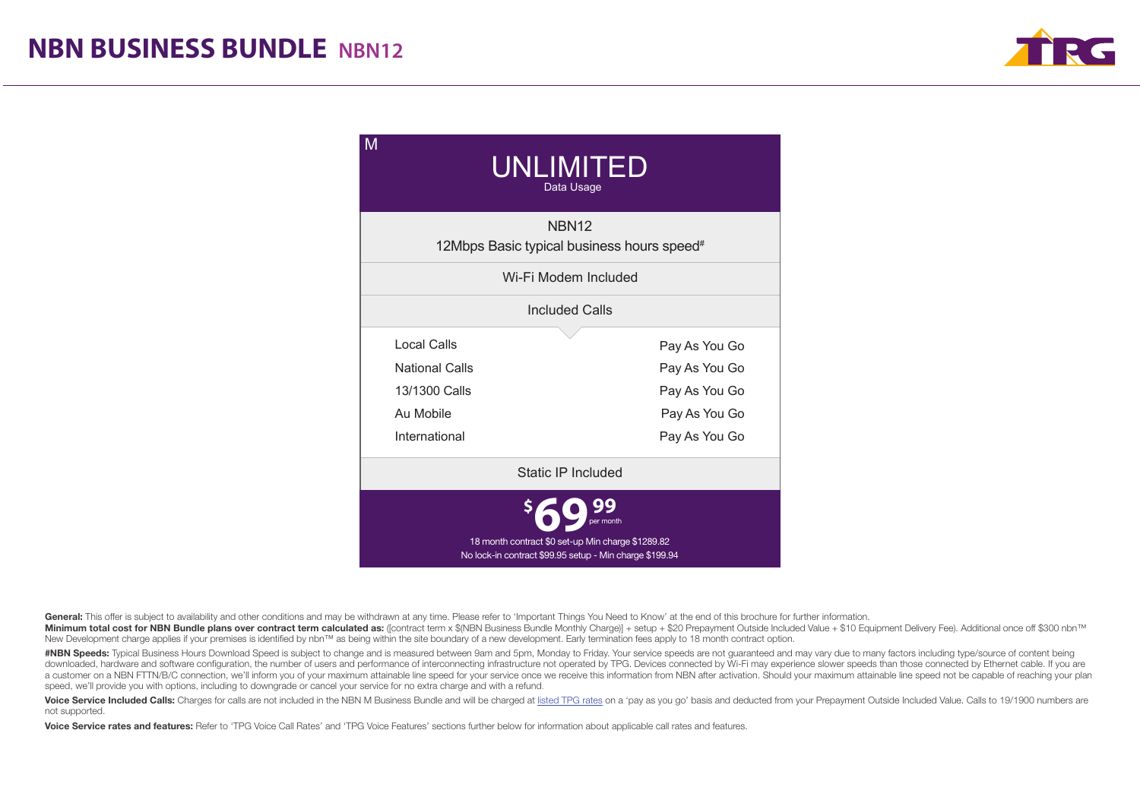

| M<br>UNLIMITED<br>Data Usage                                                                                              |               |  |  |  |
|---------------------------------------------------------------------------------------------------------------------------|---------------|--|--|--|
| NBN <sub>12</sub><br>12Mbps Basic typical business hours speed <sup>#</sup>                                               |               |  |  |  |
| Wi-Fi Modem Included                                                                                                      |               |  |  |  |
| Included Calls                                                                                                            |               |  |  |  |
| Local Calls                                                                                                               | Pay As You Go |  |  |  |
| <b>National Calls</b>                                                                                                     | Pay As You Go |  |  |  |
| 13/1300 Calls                                                                                                             | Pay As You Go |  |  |  |
| Au Mobile                                                                                                                 | Pay As You Go |  |  |  |
| International                                                                                                             | Pay As You Go |  |  |  |
| Static IP Included                                                                                                        |               |  |  |  |
| per month<br>18 month contract \$0 set-up Min charge \$1289.82<br>No lock-in contract \$99.95 setup - Min charge \$199.94 |               |  |  |  |

General: This offer is subject to availability and other conditions and may be withdrawn at any time. Please refer to 'Important Things You Need to Know' at the end of this brochure for further information.

Minimum total cost for NBN Bundle plans over contract term calculated as: (fcontract term x \$(NBN Business Bundle Monthly Charge)) + setup + \$20 Prepayment Outside Included Value + \$10 Equipment Delivery Fee). Additional New Development charge applies if your premises is identified by nbn™ as being within the site boundary of a new development. Early termination fees apply to 18 month contract option.

#NBN Speeds: Typical Business Hours Download Speed is subject to change and is measured between 9am and 5pm, Monday to Friday. Your service speeds are not guaranteed and may vary due to many factors including type/source o downloaded, hardware and software configuration, the number of users and performance of interconnecting infrastructure not operated by TPG. Devices connected by Wi-Fi may experience slower speeds than those connected by Et a customer on a NBN FTTN/B/C connection, we'll inform you of your maximum attainable line speed for your service once we receive this information from NBN after activation. Should your maximum attainable line speed not be speed, we'll provide you with options, including to downgrade or cancel your service for no extra charge and with a refund.

Voice Service Included Calls: Charges for calls are not included in the NBN M Business Bundle and will be charged at listed TPG rates on a 'pay as you go' basis and deducted from your Prepayment Outside Included Value. Cal not supported.

Voice Service rates and features: Refer to 'TPG Voice Call Rates' and 'TPG Voice Features' sections further below for information about applicable call rates and features.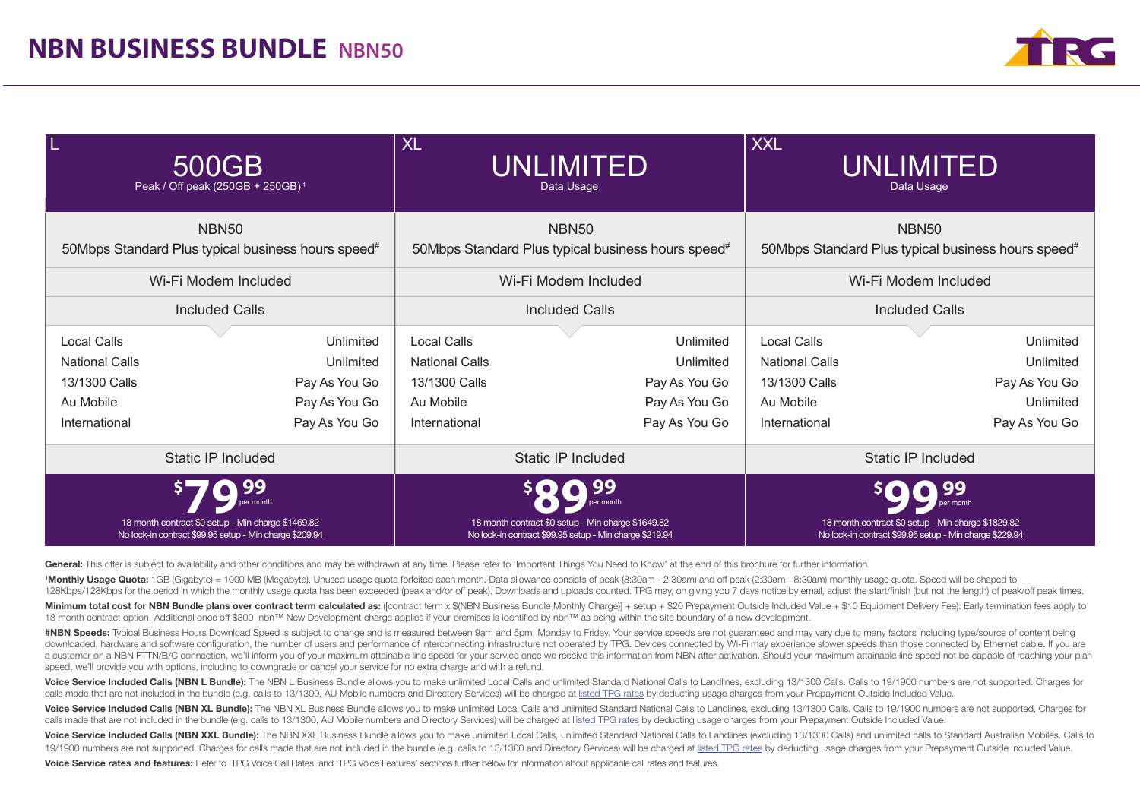

| L                                                                                          | 500GB<br>Peak / Off peak (250GB + 250GB) <sup>1</sup>                                                         | <b>XL</b><br>UNLIMITED<br>Data Usage                                                       |                                                                                                                          | <b>XXL</b><br><b>UNLIMITED</b><br>Data Usage                                               |                                                                                                               |  |
|--------------------------------------------------------------------------------------------|---------------------------------------------------------------------------------------------------------------|--------------------------------------------------------------------------------------------|--------------------------------------------------------------------------------------------------------------------------|--------------------------------------------------------------------------------------------|---------------------------------------------------------------------------------------------------------------|--|
|                                                                                            | <b>NBN50</b><br>50Mbps Standard Plus typical business hours speed#                                            |                                                                                            | NBN <sub>50</sub><br>50Mbps Standard Plus typical business hours speed#                                                  |                                                                                            | <b>NBN50</b><br>50Mbps Standard Plus typical business hours speed#                                            |  |
|                                                                                            | Wi-Fi Modem Included                                                                                          |                                                                                            | Wi-Fi Modem Included                                                                                                     |                                                                                            | Wi-Fi Modem Included                                                                                          |  |
|                                                                                            | <b>Included Calls</b>                                                                                         | <b>Included Calls</b><br><b>Included Calls</b>                                             |                                                                                                                          |                                                                                            |                                                                                                               |  |
| <b>Local Calls</b><br><b>National Calls</b><br>13/1300 Calls<br>Au Mobile<br>International | Unlimited<br>Unlimited<br>Pay As You Go<br>Pay As You Go<br>Pay As You Go                                     | <b>Local Calls</b><br><b>National Calls</b><br>13/1300 Calls<br>Au Mobile<br>International | Unlimited<br>Unlimited<br>Pay As You Go<br>Pay As You Go<br>Pay As You Go                                                | <b>Local Calls</b><br><b>National Calls</b><br>13/1300 Calls<br>Au Mobile<br>International | Unlimited<br>Unlimited<br>Pay As You Go<br>Unlimited<br>Pay As You Go                                         |  |
|                                                                                            | <b>Static IP Included</b>                                                                                     | <b>Static IP Included</b><br><b>Static IP Included</b>                                     |                                                                                                                          |                                                                                            |                                                                                                               |  |
|                                                                                            | 18 month contract \$0 setup - Min charge \$1469.82<br>No lock-in contract \$99.95 setup - Min charge \$209.94 |                                                                                            | r month<br>18 month contract \$0 setup - Min charge \$1649.82<br>No lock-in contract \$99.95 setup - Min charge \$219.94 |                                                                                            | 18 month contract \$0 setup - Min charge \$1829.82<br>No lock-in contract \$99.95 setup - Min charge \$229.94 |  |

General: This offer is subject to availability and other conditions and may be withdrawn at any time. Please refer to 'Important Things You Need to Know' at the end of this brochure for further information.

<sup>1</sup>Monthly Usage Quota: 1GB (Gigabyte) = 1000 MB (Megabyte). Unused usage quota forfeited each month. Data allowance consists of peak (8:30am - 2:30am) and off peak (2:30am - 8:30am) monthly usage quota. Speed will be shap 128Kbps/128Kbps for the period in which the monthly usage quota has been exceeded (peak and/or off peak). Downloads and uploads counted. TPG may, on giving you 7 days notice by email, adjust the start/finish (but not the l

Minimum total cost for NBN Bundle plans over contract term calculated as: ([contract term x \$(NBN Business Bundle Monthly Charge)] + setup + \$20 Prepayment Outside Included Value + \$10 Equipment Delivery Fee). Early termin 18 month contract option. Additional once off \$300 nbn™ New Development charge applies if your premises is identified by nbn™ as being within the site boundary of a new development.

#NBN Speeds: Typical Business Hours Download Speed is subject to change and is measured between 9am and 5pm, Monday to Friday. Your service speeds are not quaranteed and may vary due to many factors including type/source o downloaded, hardware and software configuration, the number of users and performance of interconnecting infrastructure not operated by TPG, Devices connected by Wi-Fi may experience slower speeds than those connected by Et a customer on a NBN FTTN/B/C connection, we'll inform you of your maximum attainable line speed for your service once we receive this information from NBN after activation. Should your maximum attainable line speed not be speed, we'll provide you with options, including to downgrade or cancel your service for no extra charge and with a refund.

Voice Service Included Calls (NBN L Bundle): The NBN L Business Bundle allows you to make unlimited Local Calls and unlimited Standard National Calls to Landlines, excluding 13/1300 Calls, to 19/1900 numbers are not suppor calls made that are not included in the bundle (e.g. calls to 13/1300, AU Mobile numbers and Directory Services) will be charged at listed TPG rates by deducting usage charges from your Prepayment Outside Included Value.

Voice Service Included Calls (NBN XL Bundle): The NBN XL Business Bundle allows you to make unlimited Local Calls and unlimited Standard National Calls to Landlines, excluding 13/1300 Calls, Calls to 19/1900 numbers are no calls made that are not included in the bundle (e.g. calls to 13/1300, AU Mobile numbers and Directory Services) will be charged at llisted TPG rates by deducting usage charges from your Prepayment Outside Included Value.

Voice Service Included Calls (NBN XXL Bundle): The NBN XXL Business Bundle allows you to make unlimited Local Calls, unlimited Standard National Calls to Landlines (excluding 13/1300 Calls) and unlimited calls to Standard 19/1900 numbers are not supported. Charges for calls made that are not included in the bundle (e.g. calls to 13/1300 and Directory Services) will be charged at listed TPG rates by deducting usage charges from your Prepayme

Voice Service rates and features: Refer to 'TPG Voice Call Rates' and 'TPG Voice Features' sections further below for information about applicable call rates and features.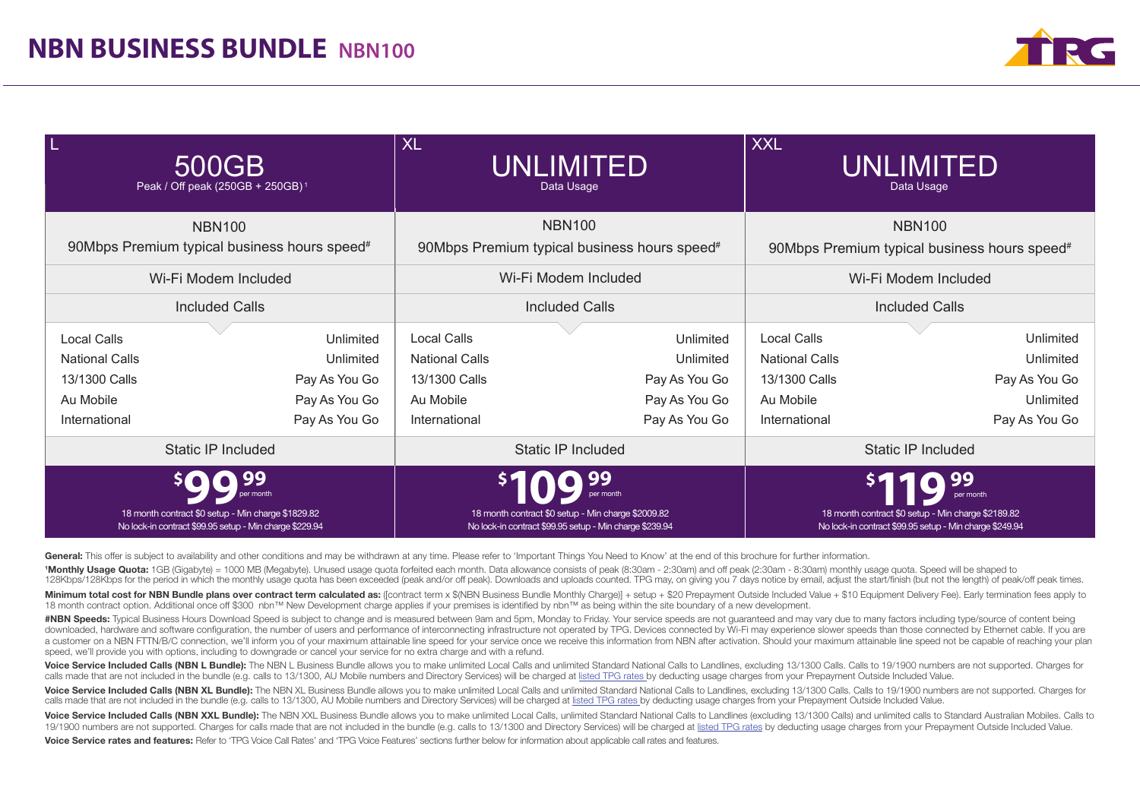

| L<br>500GB<br>Peak / Off peak (250GB + 250GB) <sup>1</sup> |                                                                                                               | <b>XL</b><br><b>UNLIMITED</b><br>Data Usage                                                  |                                                                                                               | <b>XXL</b><br>UNLIMITED<br>Data Usage |                                                                                                                            |  |
|------------------------------------------------------------|---------------------------------------------------------------------------------------------------------------|----------------------------------------------------------------------------------------------|---------------------------------------------------------------------------------------------------------------|---------------------------------------|----------------------------------------------------------------------------------------------------------------------------|--|
|                                                            | <b>NBN100</b>                                                                                                 |                                                                                              | <b>NBN100</b>                                                                                                 |                                       | <b>NBN100</b>                                                                                                              |  |
|                                                            | 90Mbps Premium typical business hours speed#                                                                  | 90Mbps Premium typical business hours speed#<br>90Mbps Premium typical business hours speed# |                                                                                                               |                                       |                                                                                                                            |  |
|                                                            | Wi-Fi Modem Included                                                                                          |                                                                                              | Wi-Fi Modem Included                                                                                          |                                       | Wi-Fi Modem Included                                                                                                       |  |
|                                                            | <b>Included Calls</b>                                                                                         | <b>Included Calls</b>                                                                        |                                                                                                               | <b>Included Calls</b>                 |                                                                                                                            |  |
| Local Calls                                                | Unlimited                                                                                                     | Local Calls                                                                                  | Unlimited                                                                                                     | <b>Local Calls</b>                    | Unlimited                                                                                                                  |  |
| <b>National Calls</b>                                      | Unlimited                                                                                                     | <b>National Calls</b>                                                                        | Unlimited                                                                                                     | <b>National Calls</b>                 | Unlimited                                                                                                                  |  |
| 13/1300 Calls                                              | Pay As You Go                                                                                                 | 13/1300 Calls                                                                                | Pay As You Go                                                                                                 | 13/1300 Calls                         | Pay As You Go                                                                                                              |  |
| Au Mobile                                                  | Pay As You Go                                                                                                 | Au Mobile                                                                                    | Pay As You Go                                                                                                 | Au Mobile                             | Unlimited                                                                                                                  |  |
| International                                              | Pay As You Go                                                                                                 | International                                                                                | Pay As You Go                                                                                                 | International                         | Pay As You Go                                                                                                              |  |
|                                                            | <b>Static IP Included</b>                                                                                     |                                                                                              | <b>Static IP Included</b>                                                                                     | Static IP Included                    |                                                                                                                            |  |
|                                                            | 18 month contract \$0 setup - Min charge \$1829.82<br>No lock-in contract \$99.95 setup - Min charge \$229.94 |                                                                                              | 18 month contract \$0 setup - Min charge \$2009.82<br>No lock-in contract \$99.95 setup - Min charge \$239.94 |                                       | per month<br>18 month contract \$0 setup - Min charge \$2189.82<br>No lock-in contract \$99.95 setup - Min charge \$249.94 |  |

General: This offer is subject to availability and other conditions and may be withdrawn at any time. Please refer to 'Important Things You Need to Know' at the end of this brochure for further information.

1Monthly Usage Quota: 1GB (Gigabyte) = 1000 MB (Megabyte). Unused usage quota forfeited each month. Data allowance consists of peak (8:30am - 2:30am) and off peak (2:30am - 8:30am) monthly usage quota. Speed will be shaped 128Kbps/128Kbps for the period in which the monthly usage quota has been exceeded (peak and/or off peak). Downloads and uploads counted. TPG may, on giving you 7 days notice by email, adjust the start/finish (but not the l

Minimum total cost for NBN Bundle plans over contract term calculated as: (icontract term x \$(NBN Business Bundle Monthly Charge)) + setup + \$20 Prepayment Outside Included Value + \$10 Equipment Delivery Fee). Early termin 18 month contract option. Additional once off \$300 nbn™ New Development charge applies if your premises is identified by nbn™ as being within the site boundary of a new development.

#NBN Speeds: Typical Business Hours Download Speed is subject to change and is measured between 9am and 5pm, Monday to Friday. Your service speeds are not guaranteed and may vary due to many factors including type/source o downloaded, hardware and software configuration, the number of users and performance of interconnecting infrastructure not operated by TPG. Devices connected by Wi-Fi may experience slower speeds than those connected by Et a customer on a NBN FTTN/B/C connection, we'll inform you of your maximum attainable line speed for your service once we receive this information from NBN after activation. Should your maximum attainable line speed not be speed, we'll provide you with options, including to downgrade or cancel your service for no extra charge and with a refund.

Voice Service Included Calls (NBN L Bundle): The NBN L Business Bundle allows you to make unlimited Local Calls and unlimited Standard National Calls to Landlines, excluding 13/1300 Calls. Calls to 19/1900 numbers are not calls made that are not included in the bundle (e.g. calls to 13/1300, AU Mobile numbers and Directory Services) will be charged at listed TPG rates by deducting usage charges from your Prepayment Outside Included Value.

Voice Service Included Calls (NBN XL Bundle): The NBN XL Business Bundle allows you to make unlimited Local Calls and unlimited Standard National Calls to Landlines. excluding 13/1300 Calls. Calls to 19/1900 numbers are no calls made that are not included in the bundle (e.g. calls to 13/1300, AU Mobile numbers and Directory Services) will be charged at listed TPG rates by deducting usage charges from your Prepayment Outside Included Value.

Voice Service Included Calls (NBN XXL Bundle): The NBN XXL Business Bundle allows you to make unlimited Local Calls, unlimited Standard National Calls to Landlines (excluding 13/1300 Calls) and unlimited calls to Standard 19/1900 numbers are not supported. Charges for calls made that are not included in the bundle (e.g. calls to 13/1300 and Directory Services) will be charged at listed TPG rates by deducting usage charges from your Prepayme Voice Service rates and features: Refer to 'TPG Voice Call Rates' and 'TPG Voice Features' sections further below for information about applicable call rates and features.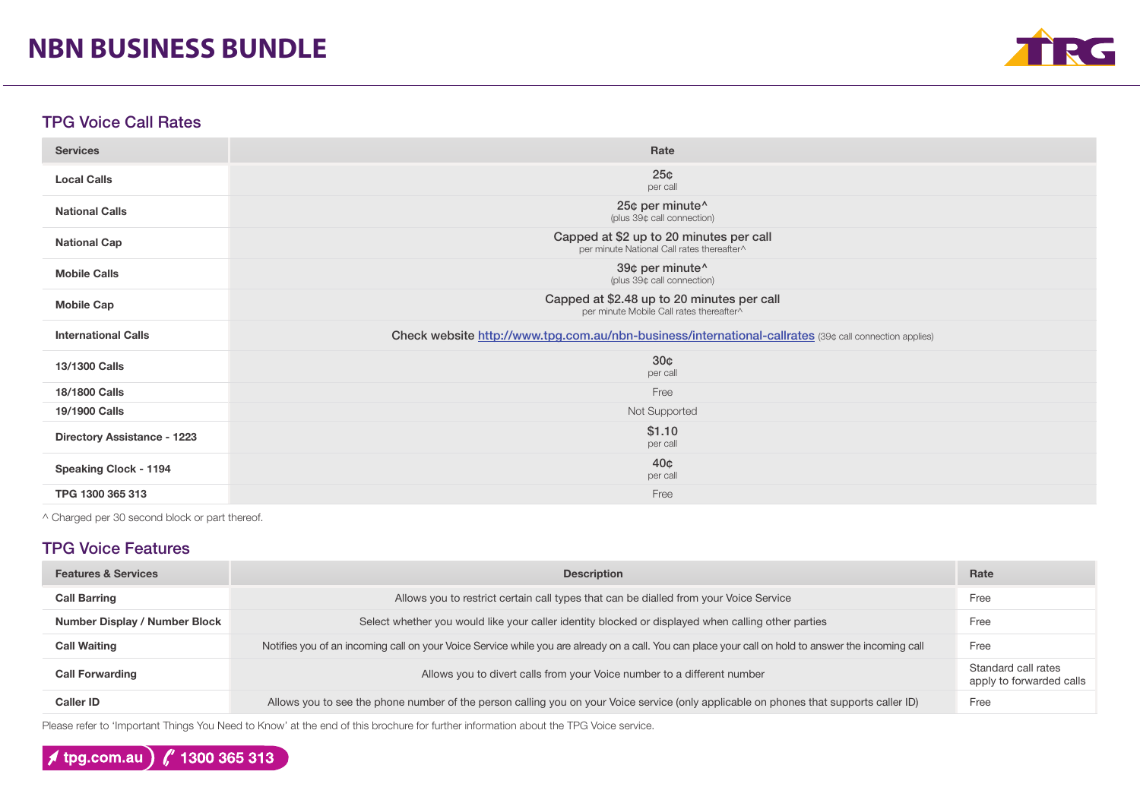# **NBN BUSINESS BUNDLE**



### TPG Voice Call Rates

| <b>Services</b>                    | Rate                                                                                                   |
|------------------------------------|--------------------------------------------------------------------------------------------------------|
| <b>Local Calls</b>                 | 25 <sub>¢</sub><br>per call                                                                            |
| <b>National Calls</b>              | 25¢ per minute^<br>(plus 39¢ call connection)                                                          |
| <b>National Cap</b>                | Capped at \$2 up to 20 minutes per call<br>per minute National Call rates thereafter^                  |
| <b>Mobile Calls</b>                | 39¢ per minute^<br>(plus 39¢ call connection)                                                          |
| <b>Mobile Cap</b>                  | Capped at \$2.48 up to 20 minutes per call<br>per minute Mobile Call rates thereafter^                 |
|                                    |                                                                                                        |
| <b>International Calls</b>         | Check website http://www.tpg.com.au/nbn-business/international-callrates (39¢ call connection applies) |
| 13/1300 Calls                      | 30 <sub>¢</sub><br>per call                                                                            |
| 18/1800 Calls                      | Free                                                                                                   |
| 19/1900 Calls                      | Not Supported                                                                                          |
| <b>Directory Assistance - 1223</b> | \$1.10<br>per call                                                                                     |
| <b>Speaking Clock - 1194</b>       | 40 <sub>¢</sub><br>per call                                                                            |

^ Charged per 30 second block or part thereof.

## TPG Voice Features

| <b>Features &amp; Services</b>       | <b>Description</b>                                                                                                                                  |                                                 |
|--------------------------------------|-----------------------------------------------------------------------------------------------------------------------------------------------------|-------------------------------------------------|
| <b>Call Barring</b>                  | Allows you to restrict certain call types that can be dialled from your Voice Service                                                               | Free                                            |
| <b>Number Display / Number Block</b> | Select whether you would like your caller identity blocked or displayed when calling other parties                                                  | Free                                            |
| <b>Call Waiting</b>                  | Notifies you of an incoming call on your Voice Service while you are already on a call. You can place your call on hold to answer the incoming call | Free                                            |
| <b>Call Forwarding</b>               | Allows you to divert calls from your Voice number to a different number                                                                             | Standard call rates<br>apply to forwarded calls |
| Caller ID                            | Allows you to see the phone number of the person calling you on your Voice service (only applicable on phones that supports caller ID)              | Free                                            |

Please refer to 'Important Things You Need to Know' at the end of this brochure for further information about the TPG Voice service.